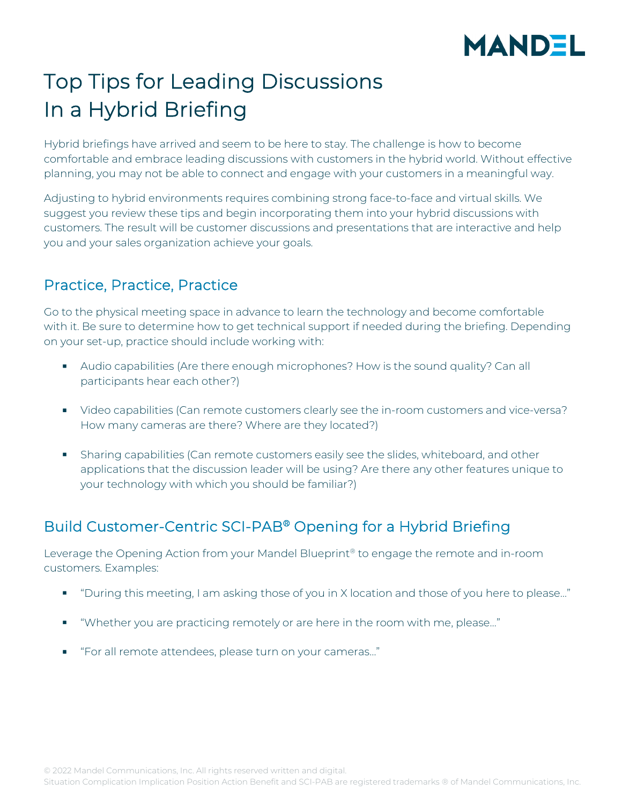# **MANDEL**

## Top Tips for Leading Discussions In a Hybrid Briefing

Hybrid briefings have arrived and seem to be here to stay. The challenge is how to become comfortable and embrace leading discussions with customers in the hybrid world. Without effective planning, you may not be able to connect and engage with your customers in a meaningful way.

Adjusting to hybrid environments requires combining strong face-to-face and virtual skills. We suggest you review these tips and begin incorporating them into your hybrid discussions with customers. The result will be customer discussions and presentations that are interactive and help you and your sales organization achieve your goals.

### Practice, Practice, Practice

Go to the physical meeting space in advance to learn the technology and become comfortable with it. Be sure to determine how to get technical support if needed during the briefing. Depending on your set-up, practice should include working with:

- Audio capabilities (Are there enough microphones? How is the sound quality? Can all participants hear each other?)
- Video capabilities (Can remote customers clearly see the in-room customers and vice-versa? How many cameras are there? Where are they located?)
- Sharing capabilities (Can remote customers easily see the slides, whiteboard, and other applications that the discussion leader will be using? Are there any other features unique to your technology with which you should be familiar?)

### Build Customer-Centric SCI-PAB® Opening for a Hybrid Briefing

Leverage the Opening Action from your Mandel Blueprint<sup>®</sup> to engage the remote and in-room customers. Examples:

- "During this meeting, I am asking those of you in X location and those of you here to please…"
- "Whether you are practicing remotely or are here in the room with me, please…"
- "For all remote attendees, please turn on your cameras..."